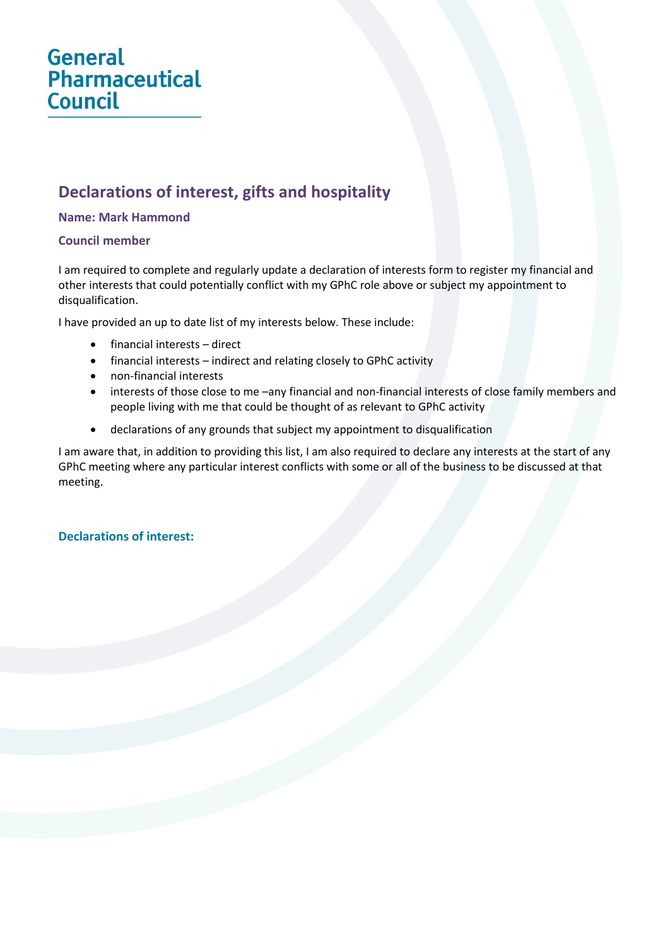# **General Pharmaceutical Council**

## **Declarations of interest, gifts and hospitality**

#### **Name: Mark Hammond**

#### **Council member**

I am required to complete and regularly update a declaration of interests form to register my financial and other interests that could potentially conflict with my GPhC role above or subject my appointment to disqualification.

I have provided an up to date list of my interests below. These include:

- financial interests direct
- financial interests indirect and relating closely to GPhC activity
- non-financial interests
- interests of those close to me –any financial and non-financial interests of close family members and people living with me that could be thought of as relevant to GPhC activity
- declarations of any grounds that subject my appointment to disqualification

I am aware that, in addition to providing this list, I am also required to declare any interests at the start of any GPhC meeting where any particular interest conflicts with some or all of the business to be discussed at that meeting.

### **Declarations of interest:**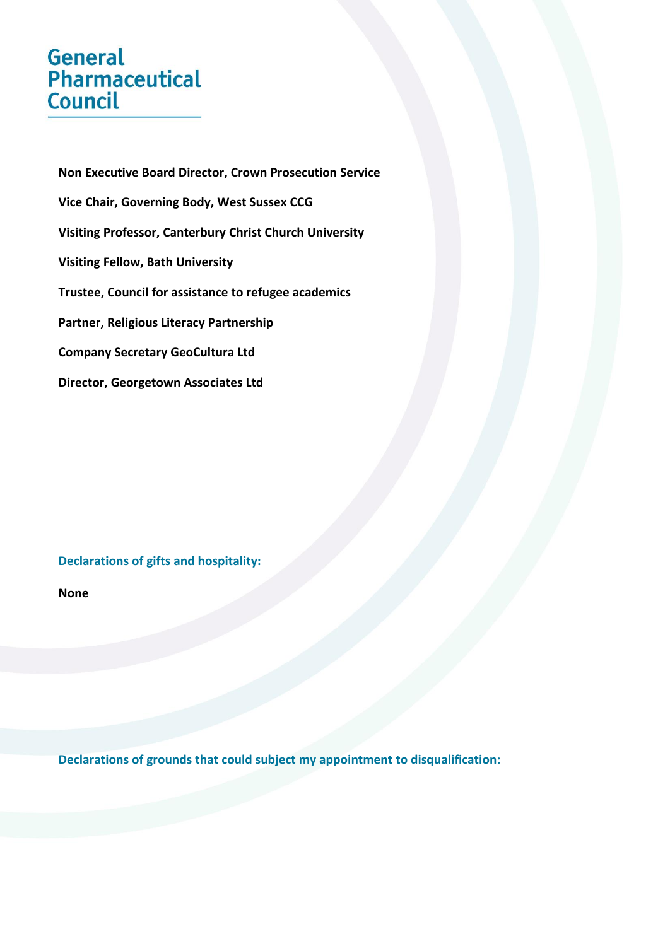# **General** Pharmaceutical Council

**Non Executive Board Director, Crown Prosecution Service Vice Chair, Governing Body, West Sussex CCG Visiting Professor, Canterbury Christ Church University Visiting Fellow, Bath University Trustee, Council for assistance to refugee academics Partner, Religious Literacy Partnership Company Secretary GeoCultura Ltd Director, Georgetown Associates Ltd**

### **Declarations of gifts and hospitality:**

**None**

**Declarations of grounds that could subject my appointment to disqualification:**